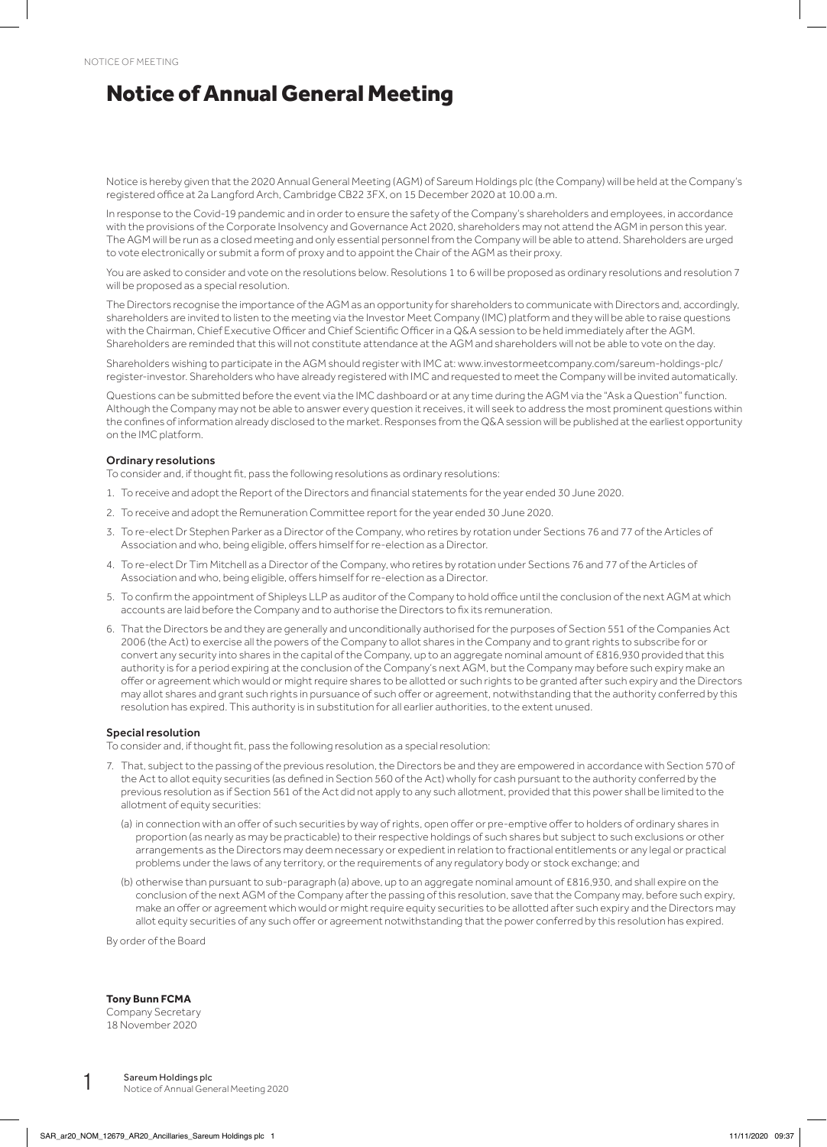## Notice of Annual General Meeting

Notice is hereby given that the 2020 Annual General Meeting (AGM) of Sareum Holdings plc (the Company) will be held at the Company's registered office at 2a Langford Arch, Cambridge CB22 3FX, on 15 December 2020 at 10.00 a.m.

In response to the Covid-19 pandemic and in order to ensure the safety of the Company's shareholders and employees, in accordance with the provisions of the Corporate Insolvency and Governance Act 2020, shareholders may not attend the AGM in person this year. The AGM will be run as a closed meeting and only essential personnel from the Company will be able to attend. Shareholders are urged to vote electronically or submit a form of proxy and to appoint the Chair of the AGM as their proxy.

You are asked to consider and vote on the resolutions below. Resolutions 1 to 6 will be proposed as ordinary resolutions and resolution 7 will be proposed as a special resolution.

The Directors recognise the importance of the AGM as an opportunity for shareholders to communicate with Directors and, accordingly, shareholders are invited to listen to the meeting via the Investor Meet Company (IMC) platform and they will be able to raise questions with the Chairman, Chief Executive Officer and Chief Scientific Officer in a Q&A session to be held immediately after the AGM. Shareholders are reminded that this will not constitute attendance at the AGM and shareholders will not be able to vote on the day.

Shareholders wishing to participate in the AGM should register with IMC at: www.investormeetcompany.com/sareum-holdings-plc/ register-investor. Shareholders who have already registered with IMC and requested to meet the Company will be invited automatically.

Questions can be submitted before the event via the IMC dashboard or at any time during the AGM via the "Ask a Question" function. Although the Company may not be able to answer every question it receives, it will seek to address the most prominent questions within the confines of information already disclosed to the market. Responses from the Q&A session will be published at the earliest opportunity on the IMC platform.

## Ordinary resolutions

To consider and, if thought fit, pass the following resolutions as ordinary resolutions:

- 1. To receive and adopt the Report of the Directors and financial statements for the year ended 30 June 2020.
- 2. To receive and adopt the Remuneration Committee report for the year ended 30 June 2020.
- 3. To re-elect Dr Stephen Parker as a Director of the Company, who retires by rotation under Sections 76 and 77 of the Articles of Association and who, being eligible, offers himself for re-election as a Director.
- 4. To re-elect Dr Tim Mitchell as a Director of the Company, who retires by rotation under Sections 76 and 77 of the Articles of Association and who, being eligible, offers himself for re-election as a Director.
- 5. To confirm the appointment of Shipleys LLP as auditor of the Company to hold office until the conclusion of the next AGM at which accounts are laid before the Company and to authorise the Directors to fix its remuneration.
- 6. That the Directors be and they are generally and unconditionally authorised for the purposes of Section 551 of the Companies Act 2006 (the Act) to exercise all the powers of the Company to allot shares in the Company and to grant rights to subscribe for or convert any security into shares in the capital of the Company, up to an aggregate nominal amount of £816,930 provided that this authority is for a period expiring at the conclusion of the Company's next AGM, but the Company may before such expiry make an offer or agreement which would or might require shares to be allotted or such rights to be granted after such expiry and the Directors may allot shares and grant such rights in pursuance of such offer or agreement, notwithstanding that the authority conferred by this resolution has expired. This authority is in substitution for all earlier authorities, to the extent unused.

## Special resolution

To consider and, if thought fit, pass the following resolution as a special resolution:

- 7. That, subject to the passing of the previous resolution, the Directors be and they are empowered in accordance with Section 570 of the Act to allot equity securities (as defined in Section 560 of the Act) wholly for cash pursuant to the authority conferred by the previous resolution as if Section 561 of the Act did not apply to any such allotment, provided that this power shall be limited to the allotment of equity securities:
	- (a) in connection with an offer of such securities by way of rights, open offer or pre-emptive offer to holders of ordinary shares in proportion (as nearly as may be practicable) to their respective holdings of such shares but subject to such exclusions or other arrangements as the Directors may deem necessary or expedient in relation to fractional entitlements or any legal or practical problems under the laws of any territory, or the requirements of any regulatory body or stock exchange; and
	- (b) otherwise than pursuant to sub-paragraph (a) above, up to an aggregate nominal amount of £816,930, and shall expire on the conclusion of the next AGM of the Company after the passing of this resolution, save that the Company may, before such expiry, make an offer or agreement which would or might require equity securities to be allotted after such expiry and the Directors may allot equity securities of any such offer or agreement notwithstanding that the power conferred by this resolution has expired.

By order of the Board

## **Tony Bunn FCMA**

Company Secretary 18 November 2020

**1** Sareum Holdings plc<br>1 Notice of Annual General Meeting 2020